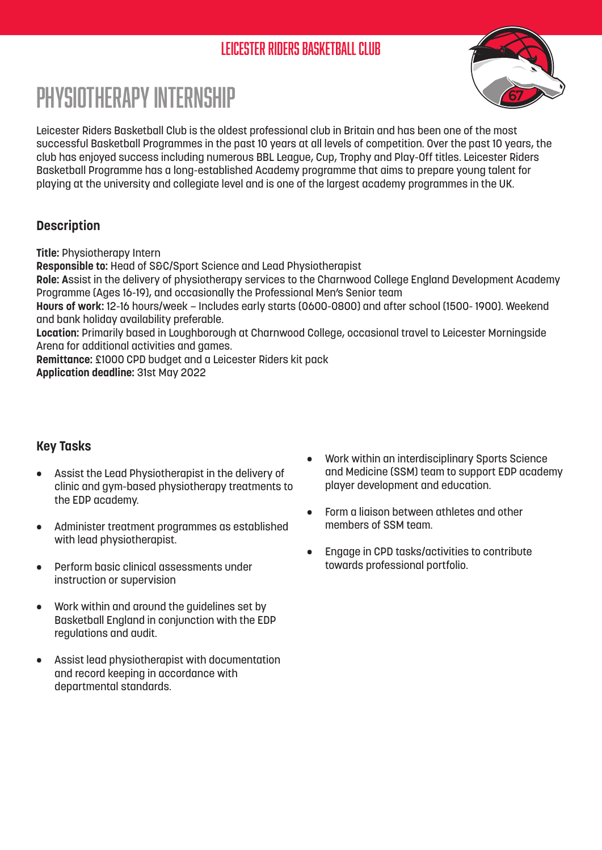## Leicester Riders Basketball Club



# Physiotherapy Internship

Leicester Riders Basketball Club is the oldest professional club in Britain and has been one of the most successful Basketball Programmes in the past 10 years at all levels of competition. Over the past 10 years, the club has enjoyed success including numerous BBL League, Cup, Trophy and Play-Off titles. Leicester Riders Basketball Programme has a long-established Academy programme that aims to prepare young talent for playing at the university and collegiate level and is one of the largest academy programmes in the UK.

#### **Description**

**Title:** Physiotherapy Intern

**Responsible to:** Head of S&C/Sport Science and Lead Physiotherapist

**Role: A**ssist in the delivery of physiotherapy services to the Charnwood College England Development Academy Programme (Ages 16-19), and occasionally the Professional Men's Senior team

**Hours of work:** 12-16 hours/week – Includes early starts (0600-0800) and after school (1500- 1900). Weekend and bank holiday availability preferable.

**Location:** Primarily based in Loughborough at Charnwood College, occasional travel to Leicester Morningside Arena for additional activities and games.

**Remittance:** £1000 CPD budget and a Leicester Riders kit pack **Application deadline:** 31st May 2022

**Key Tasks** 

- Assist the Lead Physiotherapist in the delivery of clinic and gym-based physiotherapy treatments to the EDP academy.
- Administer treatment programmes as established with lead physiotherapist.
- Perform basic clinical assessments under instruction or supervision
- Work within and around the guidelines set by Basketball England in conjunction with the EDP regulations and audit.
- Assist lead physiotherapist with documentation and record keeping in accordance with departmental standards.
- Work within an interdisciplinary Sports Science and Medicine (SSM) team to support EDP academy player development and education.
- Form a liaison between athletes and other members of SSM team.
- Engage in CPD tasks/activities to contribute towards professional portfolio.